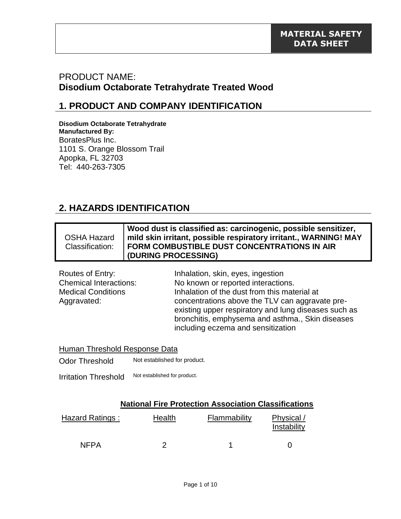## PRODUCT NAME: **Disodium Octaborate Tetrahydrate Treated Wood**

### **1. PRODUCT AND COMPANY IDENTIFICATION**

**Disodium Octaborate Tetrahydrate Manufactured By:** BoratesPlus Inc. 1101 S. Orange Blossom Trail Apopka, FL 32703 Tel: 440-263-7305

## **2. HAZARDS IDENTIFICATION**

|                    | Wood dust is classified as: carcinogenic, possible sensitizer,   |
|--------------------|------------------------------------------------------------------|
| <b>OSHA Hazard</b> | mild skin irritant, possible respiratory irritant., WARNING! MAY |
| Classification:    | <b>FORM COMBUSTIBLE DUST CONCENTRATIONS IN AIR</b>               |
|                    | (DURING PROCESSING)                                              |

| Routes of Entry:              | Inhalation, skin, eyes, ingestion                    |  |  |
|-------------------------------|------------------------------------------------------|--|--|
| <b>Chemical Interactions:</b> | No known or reported interactions.                   |  |  |
| <b>Medical Conditions</b>     | Inhalation of the dust from this material at         |  |  |
| Aggravated:                   | concentrations above the TLV can aggravate pre-      |  |  |
|                               | existing upper respiratory and lung diseases such as |  |  |
|                               | bronchitis, emphysema and asthma., Skin diseases     |  |  |
|                               | including eczema and sensitization                   |  |  |

|  | Human Threshold Response Data |  |
|--|-------------------------------|--|
|  | h let established far wradi   |  |

Odor Threshold Not established for product.

Irritation Threshold Not established for product.

#### **National Fire Protection Association Classifications**

| Hazard Ratings : | Health | Flammability | Physical /<br>Instability |
|------------------|--------|--------------|---------------------------|
| <b>NFPA</b>      |        |              |                           |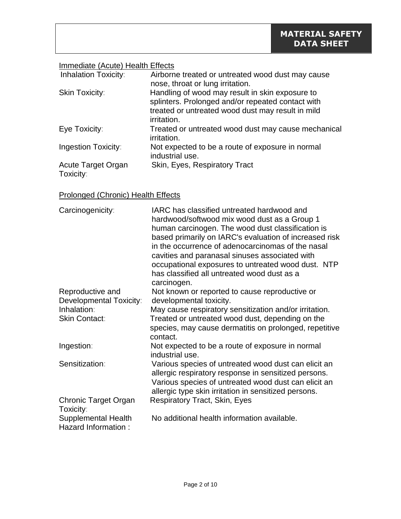### Immediate (Acute) Health Effects

| <b>Inhalation Toxicity:</b>     | Airborne treated or untreated wood dust may cause<br>nose, throat or lung irritation.                                                                                    |
|---------------------------------|--------------------------------------------------------------------------------------------------------------------------------------------------------------------------|
| <b>Skin Toxicity:</b>           | Handling of wood may result in skin exposure to<br>splinters. Prolonged and/or repeated contact with<br>treated or untreated wood dust may result in mild<br>irritation. |
| Eye Toxicity:                   | Treated or untreated wood dust may cause mechanical<br>irritation.                                                                                                       |
| <b>Ingestion Toxicity:</b>      | Not expected to be a route of exposure in normal<br>industrial use.                                                                                                      |
| Acute Target Organ<br>Toxicity: | Skin, Eyes, Respiratory Tract                                                                                                                                            |

### Prolonged (Chronic) Health Effects

| Carcinogenicity:                                  | IARC has classified untreated hardwood and<br>hardwood/softwood mix wood dust as a Group 1<br>human carcinogen. The wood dust classification is<br>based primarily on IARC's evaluation of increased risk<br>in the occurrence of adenocarcinomas of the nasal<br>cavities and paranasal sinuses associated with<br>occupational exposures to untreated wood dust. NTP<br>has classified all untreated wood dust as a |
|---------------------------------------------------|-----------------------------------------------------------------------------------------------------------------------------------------------------------------------------------------------------------------------------------------------------------------------------------------------------------------------------------------------------------------------------------------------------------------------|
| Reproductive and                                  | carcinogen.<br>Not known or reported to cause reproductive or                                                                                                                                                                                                                                                                                                                                                         |
| Developmental Toxicity:                           | developmental toxicity.                                                                                                                                                                                                                                                                                                                                                                                               |
| Inhalation:                                       | May cause respiratory sensitization and/or irritation.                                                                                                                                                                                                                                                                                                                                                                |
| <b>Skin Contact:</b>                              | Treated or untreated wood dust, depending on the<br>species, may cause dermatitis on prolonged, repetitive<br>contact.                                                                                                                                                                                                                                                                                                |
| Ingestion:                                        | Not expected to be a route of exposure in normal<br>industrial use.                                                                                                                                                                                                                                                                                                                                                   |
| Sensitization:                                    | Various species of untreated wood dust can elicit an<br>allergic respiratory response in sensitized persons.<br>Various species of untreated wood dust can elicit an<br>allergic type skin irritation in sensitized persons.                                                                                                                                                                                          |
| <b>Chronic Target Organ</b><br>Toxicity:          | <b>Respiratory Tract, Skin, Eyes</b>                                                                                                                                                                                                                                                                                                                                                                                  |
| <b>Supplemental Health</b><br>Hazard Information: | No additional health information available.                                                                                                                                                                                                                                                                                                                                                                           |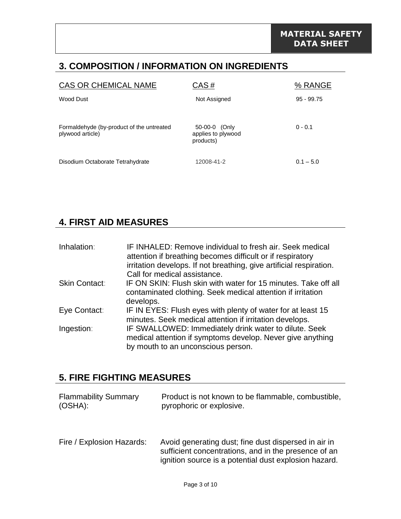## **3. COMPOSITION / INFORMATION ON INGREDIENTS**

| <b>CAS OR CHEMICAL NAME</b>                                   | CAS#                                             | % RANGE      |
|---------------------------------------------------------------|--------------------------------------------------|--------------|
| Wood Dust                                                     | Not Assigned                                     | $95 - 99.75$ |
| Formaldehyde (by-product of the untreated<br>plywood article) | 50-00-0 (Only<br>applies to plywood<br>products) | $0 - 0.1$    |
| Disodium Octaborate Tetrahydrate                              | 12008-41-2                                       | $0.1 - 5.0$  |

### **4. FIRST AID MEASURES**

| Inhalation:   | IF INHALED: Remove individual to fresh air. Seek medical<br>attention if breathing becomes difficult or if respiratory                                    |
|---------------|-----------------------------------------------------------------------------------------------------------------------------------------------------------|
|               | irritation develops. If not breathing, give artificial respiration.<br>Call for medical assistance.                                                       |
| Skin Contact: | IF ON SKIN: Flush skin with water for 15 minutes. Take off all<br>contaminated clothing. Seek medical attention if irritation<br>develops.                |
| Eye Contact:  | IF IN EYES: Flush eyes with plenty of water for at least 15<br>minutes. Seek medical attention if irritation develops.                                    |
| Ingestion:    | IF SWALLOWED: Immediately drink water to dilute. Seek<br>medical attention if symptoms develop. Never give anything<br>by mouth to an unconscious person. |

# **5. FIRE FIGHTING MEASURES**

| <b>Flammability Summary</b> | Product is not known to be flammable, combustible, |
|-----------------------------|----------------------------------------------------|
| (OSHA):                     | pyrophoric or explosive.                           |
|                             |                                                    |

Fire / Explosion Hazards: Avoid generating dust; fine dust dispersed in air in sufficient concentrations, and in the presence of an ignition source is a potential dust explosion hazard.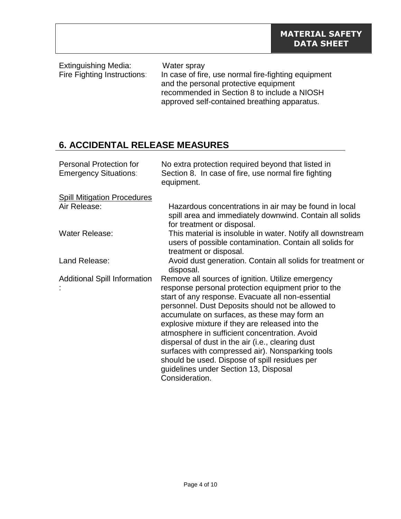Extinguishing Media: Water spray<br>Fire Fighting Instructions: In case of fire In case of fire, use normal fire-fighting equipment and the personal protective equipment recommended in Section 8 to include a NIOSH approved self-contained breathing apparatus.

# **6. ACCIDENTAL RELEASE MEASURES**

| <b>Personal Protection for</b><br><b>Emergency Situations:</b> | No extra protection required beyond that listed in<br>Section 8. In case of fire, use normal fire fighting<br>equipment.                                                                                                                                                                                                                                                                                                                                                                                                                                                                    |  |
|----------------------------------------------------------------|---------------------------------------------------------------------------------------------------------------------------------------------------------------------------------------------------------------------------------------------------------------------------------------------------------------------------------------------------------------------------------------------------------------------------------------------------------------------------------------------------------------------------------------------------------------------------------------------|--|
| <b>Spill Mitigation Procedures</b><br>Air Release:             | Hazardous concentrations in air may be found in local<br>spill area and immediately downwind. Contain all solids<br>for treatment or disposal.                                                                                                                                                                                                                                                                                                                                                                                                                                              |  |
| <b>Water Release:</b>                                          | This material is insoluble in water. Notify all downstream<br>users of possible contamination. Contain all solids for<br>treatment or disposal.                                                                                                                                                                                                                                                                                                                                                                                                                                             |  |
| Land Release:                                                  | Avoid dust generation. Contain all solids for treatment or<br>disposal.                                                                                                                                                                                                                                                                                                                                                                                                                                                                                                                     |  |
| <b>Additional Spill Information</b>                            | Remove all sources of ignition. Utilize emergency<br>response personal protection equipment prior to the<br>start of any response. Evacuate all non-essential<br>personnel. Dust Deposits should not be allowed to<br>accumulate on surfaces, as these may form an<br>explosive mixture if they are released into the<br>atmosphere in sufficient concentration. Avoid<br>dispersal of dust in the air (i.e., clearing dust<br>surfaces with compressed air). Nonsparking tools<br>should be used. Dispose of spill residues per<br>guidelines under Section 13, Disposal<br>Consideration. |  |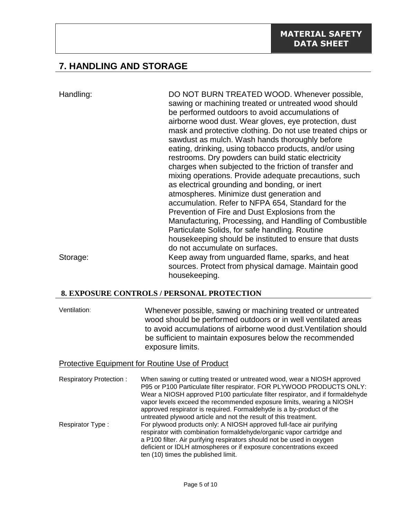# **7. HANDLING AND STORAGE**

Handling: DO NOT BURN TREATED WOOD. Whenever possible, sawing or machining treated or untreated wood should be performed outdoors to avoid accumulations of airborne wood dust. Wear gloves, eye protection, dust mask and protective clothing. Do not use treated chips or sawdust as mulch. Wash hands thoroughly before eating, drinking, using tobacco products, and/or using restrooms. Dry powders can build static electricity charges when subjected to the friction of transfer and mixing operations. Provide adequate precautions, such as electrical grounding and bonding, or inert atmospheres. Minimize dust generation and accumulation. Refer to NFPA 654, Standard for the Prevention of Fire and Dust Explosions from the Manufacturing, Processing, and Handling of Combustible Particulate Solids, for safe handling. Routine housekeeping should be instituted to ensure that dusts do not accumulate on surfaces. Storage: Keep away from unguarded flame, sparks, and heat sources. Protect from physical damage. Maintain good housekeeping.

#### **8. EXPOSURE CONTROLS / PERSONAL PROTECTION**

Ventilation: Whenever possible, sawing or machining treated or untreated wood should be performed outdoors or in well ventilated areas to avoid accumulations of airborne wood dust.Ventilation should be sufficient to maintain exposures below the recommended exposure limits.

#### Protective Equipment for Routine Use of Product

Respiratory Protection : When sawing or cutting treated or untreated wood, wear a NIOSH approved P95 or P100 Particulate filter respirator. FOR PLYWOOD PRODUCTS ONLY: Wear a NIOSH approved P100 particulate filter respirator, and if formaldehyde vapor levels exceed the recommended exposure limits, wearing a NIOSH approved respirator is required. Formaldehyde is a by-product of the untreated plywood article and not the result of this treatment. Respirator Type : For plywood products only: A NIOSH approved full-face air purifying respirator with combination formaldehyde/organic vapor cartridge and a P100 filter. Air purifying respirators should not be used in oxygen deficient or IDLH atmospheres or if exposure concentrations exceed ten (10) times the published limit.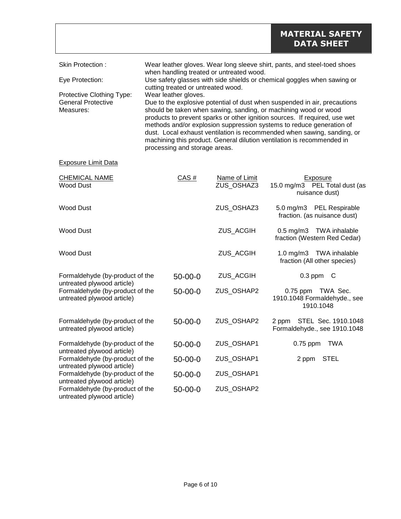| Skin Protection:          | Wear leather gloves. Wear long sleeve shirt, pants, and steel-toed shoes<br>when handling treated or untreated wood.                                                                                                                                                                                                                                                                                        |
|---------------------------|-------------------------------------------------------------------------------------------------------------------------------------------------------------------------------------------------------------------------------------------------------------------------------------------------------------------------------------------------------------------------------------------------------------|
| Eye Protection:           | Use safety glasses with side shields or chemical goggles when sawing or<br>cutting treated or untreated wood.                                                                                                                                                                                                                                                                                               |
| Protective Clothing Type: | Wear leather gloves.                                                                                                                                                                                                                                                                                                                                                                                        |
| <b>General Protective</b> | Due to the explosive potential of dust when suspended in air, precautions                                                                                                                                                                                                                                                                                                                                   |
| Measures:                 | should be taken when sawing, sanding, or machining wood or wood<br>products to prevent sparks or other ignition sources. If required, use wet<br>methods and/or explosion suppression systems to reduce generation of<br>dust. Local exhaust ventilation is recommended when sawing, sanding, or<br>machining this product. General dilution ventilation is recommended in<br>processing and storage areas. |

#### Exposure Limit Data

| <b>CHEMICAL NAME</b><br><b>Wood Dust</b>                      | CAS#          | Name of Limit<br>ZUS_OSHAZ3 | Exposure<br>15.0 mg/m3 PEL Total dust (as<br>nuisance dust)                  |
|---------------------------------------------------------------|---------------|-----------------------------|------------------------------------------------------------------------------|
| <b>Wood Dust</b>                                              |               | ZUS_OSHAZ3                  | 5.0 mg/m3 PEL Respirable<br>fraction. (as nuisance dust)                     |
| <b>Wood Dust</b>                                              |               | ZUS_ACGIH                   | 0.5 mg/m3 TWA inhalable<br>fraction (Western Red Cedar)                      |
| <b>Wood Dust</b>                                              |               | ZUS_ACGIH                   | $1.0 \text{ mg/m}$ 3<br><b>TWA inhalable</b><br>fraction (All other species) |
| Formaldehyde (by-product of the<br>untreated plywood article) | $50 - 00 - 0$ | ZUS_ACGIH                   | $0.3$ ppm $\,$ C                                                             |
| Formaldehyde (by-product of the<br>untreated plywood article) | $50 - 00 - 0$ | ZUS_OSHAP2                  | 0.75 ppm TWA Sec.<br>1910.1048 Formaldehyde., see<br>1910.1048               |
| Formaldehyde (by-product of the<br>untreated plywood article) | $50 - 00 - 0$ | ZUS_OSHAP2                  | STEL Sec. 1910.1048<br>2 ppm<br>Formaldehyde., see 1910.1048                 |
| Formaldehyde (by-product of the<br>untreated plywood article) | $50 - 00 - 0$ | ZUS_OSHAP1                  | <b>TWA</b><br>$0.75$ ppm                                                     |
| Formaldehyde (by-product of the<br>untreated plywood article) | $50 - 00 - 0$ | ZUS_OSHAP1                  | <b>STEL</b><br>2 ppm                                                         |
| Formaldehyde (by-product of the<br>untreated plywood article) | $50 - 00 - 0$ | ZUS_OSHAP1                  |                                                                              |
| Formaldehyde (by-product of the<br>untreated plywood article) | $50 - 00 - 0$ | ZUS OSHAP2                  |                                                                              |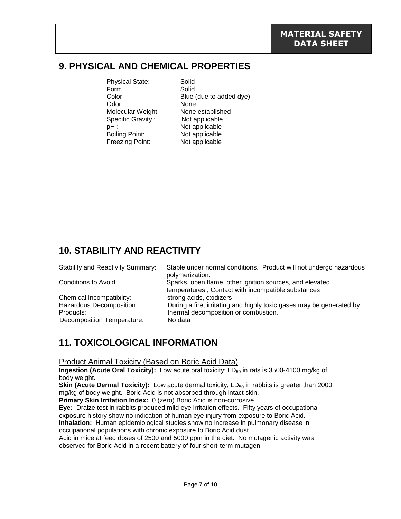## **9. PHYSICAL AND CHEMICAL PROPERTIES**

| <b>Physical State:</b> | Solid                   |
|------------------------|-------------------------|
| Form                   | Solid                   |
| Color:                 | Blue (due to added dye) |
| Odor:                  | None                    |
| Molecular Weight:      | None established        |
| Specific Gravity:      | Not applicable          |
| pH :                   | Not applicable          |
| <b>Boiling Point:</b>  | Not applicable          |
| <b>Freezing Point:</b> | Not applicable          |

# **10. STABILITY AND REACTIVITY**

| <b>Stability and Reactivity Summary:</b> | Stable under normal conditions. Product will not undergo hazardous<br>polymerization.                           |
|------------------------------------------|-----------------------------------------------------------------------------------------------------------------|
| Conditions to Avoid:                     | Sparks, open flame, other ignition sources, and elevated<br>temperatures., Contact with incompatible substances |
| Chemical Incompatibility:                | strong acids, oxidizers                                                                                         |
| <b>Hazardous Decomposition</b>           | During a fire, irritating and highly toxic gases may be generated by                                            |
| Products:                                | thermal decomposition or combustion.                                                                            |
| Decomposition Temperature:               | No data                                                                                                         |

# **11. TOXICOLOGICAL INFORMATION**

#### Product Animal Toxicity (Based on Boric Acid Data)

**Ingestion (Acute Oral Toxicity):** Low acute oral toxicity; LD<sub>50</sub> in rats is 3500-4100 mg/kg of body weight.

**Skin (Acute Dermal Toxicity):** Low acute dermal toxicity; LD<sub>50</sub> in rabbits is greater than 2000 mg/kg of body weight. Boric Acid is not absorbed through intact skin.

**Primary Skin Irritation Index:** 0 (zero) Boric Acid is non-corrosive.

**Eye:** Draize test in rabbits produced mild eye irritation effects. Fifty years of occupational exposure history show no indication of human eye injury from exposure to Boric Acid.

**Inhalation:** Human epidemiological studies show no increase in pulmonary disease in occupational populations with chronic exposure to Boric Acid dust.

Acid in mice at feed doses of 2500 and 5000 ppm in the diet. No mutagenic activity was observed for Boric Acid in a recent battery of four short-term mutagen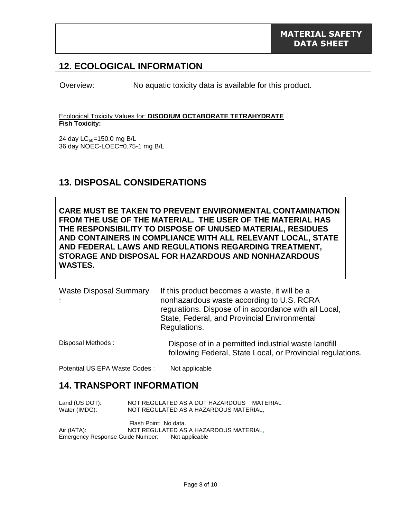### **12. ECOLOGICAL INFORMATION**

Overview: No aquatic toxicity data is available for this product.

Ecological Toxicity Values for: **DISODIUM OCTABORATE TETRAHYDRATE Fish Toxicity:** 

24 day LC<sub>50</sub>=150.0 mg B/L 36 day NOEC-LOEC=0.75-1 mg B/L

### **13. DISPOSAL CONSIDERATIONS**

**CARE MUST BE TAKEN TO PREVENT ENVIRONMENTAL CONTAMINATION FROM THE USE OF THE MATERIAL. THE USER OF THE MATERIAL HAS THE RESPONSIBILITY TO DISPOSE OF UNUSED MATERIAL, RESIDUES AND CONTAINERS IN COMPLIANCE WITH ALL RELEVANT LOCAL, STATE AND FEDERAL LAWS AND REGULATIONS REGARDING TREATMENT, STORAGE AND DISPOSAL FOR HAZARDOUS AND NONHAZARDOUS WASTES.** 

| <b>Waste Disposal Summary</b> | If this product becomes a waste, it will be a<br>nonhazardous waste according to U.S. RCRA<br>regulations. Dispose of in accordance with all Local,<br>State, Federal, and Provincial Environmental<br>Regulations. |
|-------------------------------|---------------------------------------------------------------------------------------------------------------------------------------------------------------------------------------------------------------------|
| Disposal Methods:             | Dispose of in a permitted industrial waste landfill                                                                                                                                                                 |

following Federal, State Local, or Provincial regulations.

Potential US EPA Waste Codes : Not applicable

### **14. TRANSPORT INFORMATION**

| Land (US DOT): | NOT REGULATED AS A DOT HAZARDOUS MATERIAL                       |
|----------------|-----------------------------------------------------------------|
| Water (IMDG):  | NOT REGULATED AS A HAZARDOUS MATERIAL,                          |
| Air (IATA):    | Flash Point: No data.<br>NOT REGULATED AS A HAZARDOUS MATERIAL, |

Emergency Response Guide Number: Not applicable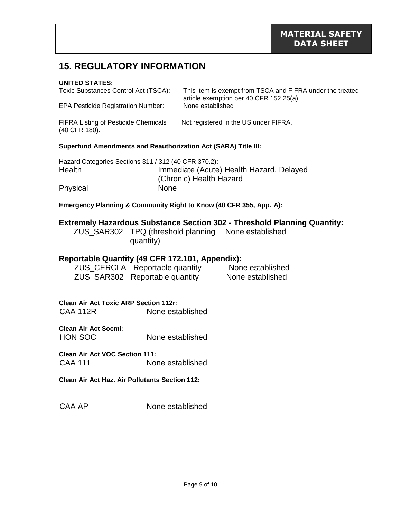# **15. REGULATORY INFORMATION**

#### **UNITED STATES:**

| Toxic Substances Control Act (TSCA):<br><b>EPA Pesticide Registration Number:</b> | This item is exempt from TSCA and FIFRA under the treated<br>article exemption per 40 CFR 152.25(a).<br>None established |  |
|-----------------------------------------------------------------------------------|--------------------------------------------------------------------------------------------------------------------------|--|
| <b>FIFRA Listing of Pesticide Chemicals</b><br>$(40$ CFR $180$ :                  | Not registered in the US under FIFRA.                                                                                    |  |
| <b>Superfund Amendments and Reauthorization Act (SARA) Title III:</b>             |                                                                                                                          |  |
| Hazard Categories Sections 311 / 312 (40 CFR 370.2):<br>Health                    | Immediate (Acute) Health Hazard, Delayed<br>(Chronic) Health Hazard                                                      |  |
| Physical                                                                          | None                                                                                                                     |  |

**Emergency Planning & Community Right to Know (40 CFR 355, App. A):**

#### **Extremely Hazardous Substance Section 302 - Threshold Planning Quantity:**

| ZUS_SAR302 TPQ (threshold planning None established |  |
|-----------------------------------------------------|--|
| quantity)                                           |  |

#### **Reportable Quantity (49 CFR 172.101, Appendix):**

| ZUS_CERCLA Reportable quantity | None established |
|--------------------------------|------------------|
| ZUS_SAR302 Reportable quantity | None established |

**Clean Air Act Toxic ARP Section 112r:** CAA 112R None established

**Clean Air Act Socmi:** HON SOC None established

**Clean Air Act VOC Section 111:** CAA 111 None established

**Clean Air Act Haz. Air Pollutants Section 112:**

CAA AP None established